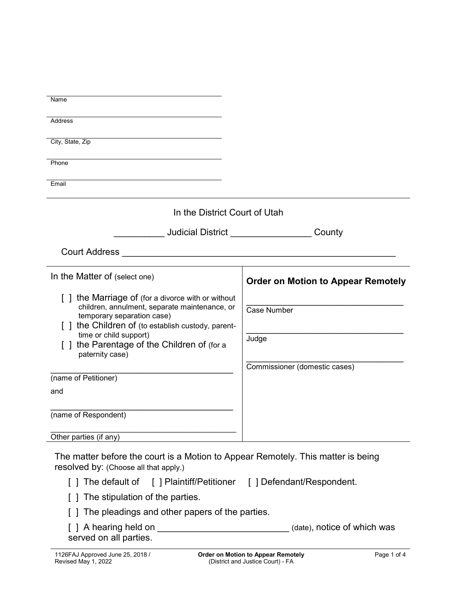| Name                                                                                                                                                                                   |                                           |
|----------------------------------------------------------------------------------------------------------------------------------------------------------------------------------------|-------------------------------------------|
| Address                                                                                                                                                                                |                                           |
| City, State, Zip                                                                                                                                                                       |                                           |
| Phone                                                                                                                                                                                  |                                           |
| Email                                                                                                                                                                                  |                                           |
| In the District Court of Utah                                                                                                                                                          |                                           |
| <b>Judicial District Analysis of the United States</b>                                                                                                                                 | County                                    |
| <b>Court Address</b><br><u> 1980 - Jan Samuel Barbara, margaret e</u>                                                                                                                  |                                           |
| In the Matter of (select one)                                                                                                                                                          | <b>Order on Motion to Appear Remotely</b> |
| [] the Marriage of (for a divorce with or without<br>children, annulment, separate maintenance, or<br>temporary separation case)<br>[ ] the Children of (to establish custody, parent- | <b>Case Number</b>                        |
| time or child support)<br>the Parentage of the Children of (for a<br>paternity case)                                                                                                   | Judge                                     |
|                                                                                                                                                                                        | Commissioner (domestic cases)             |
| (name of Petitioner)                                                                                                                                                                   |                                           |
| and                                                                                                                                                                                    |                                           |
| (name of Respondent)                                                                                                                                                                   |                                           |
| Other parties (if any)                                                                                                                                                                 |                                           |
| The matter before the court is a Motion to Appear Remotely. This matter is being<br>resolved by: (Choose all that apply.)                                                              |                                           |
| [] The default of [] Plaintiff/Petitioner [] Defendant/Respondent.                                                                                                                     |                                           |
| The stipulation of the parties.                                                                                                                                                        |                                           |
| The pleadings and other papers of the parties.                                                                                                                                         |                                           |
| served on all parties.                                                                                                                                                                 | (date), notice of which was               |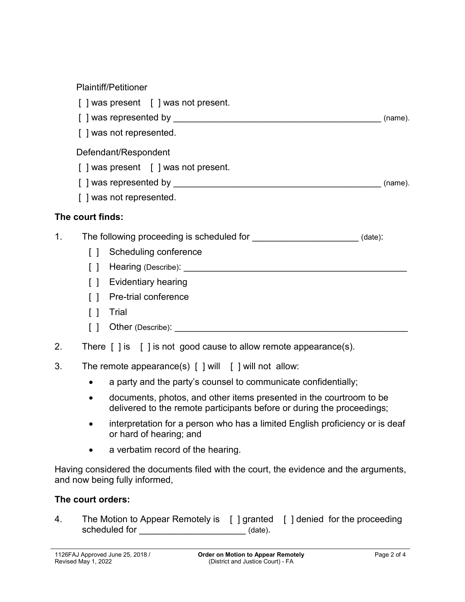## Plaintiff/Petitioner

- [ ] was present [ ] was not present. [ ] was represented by \_\_\_\_\_\_\_\_\_\_\_\_\_\_\_\_\_\_\_\_\_\_\_\_\_\_\_\_\_\_\_\_\_\_\_\_\_\_\_\_\_ (name). [ ] was not represented. Defendant/Respondent [ ] was present [ ] was not present. [ ] was represented by  $\blacksquare$ [ ] was not represented. **The court finds:** 1. The following proceeding is scheduled for \_\_\_\_\_\_\_\_\_\_\_\_\_\_\_\_\_\_\_\_\_\_(date): [ ] Scheduling conference [ ] Hearing (Describe):  $\blacksquare$ [ ] Evidentiary hearing [ ] Pre-trial conference [ ] Trial  $\begin{bmatrix} \phantom{a} \end{bmatrix}$  Other (Describe): 2. There [ ] is [ ] is not good cause to allow remote appearance(s). 3. The remote appearance(s) [ ] will [ ] will not allow:
	- a party and the party's counsel to communicate confidentially;
	- documents, photos, and other items presented in the courtroom to be delivered to the remote participants before or during the proceedings;
	- interpretation for a person who has a limited English proficiency or is deaf or hard of hearing; and
	- a verbatim record of the hearing.

Having considered the documents filed with the court, the evidence and the arguments, and now being fully informed,

## **The court orders:**

4. The Motion to Appear Remotely is [ ] granted [ ] denied for the proceeding scheduled for \_\_\_\_\_\_\_\_\_\_\_\_\_\_\_\_\_\_\_\_\_\_\_\_\_\_\_\_\_\_\_ (date).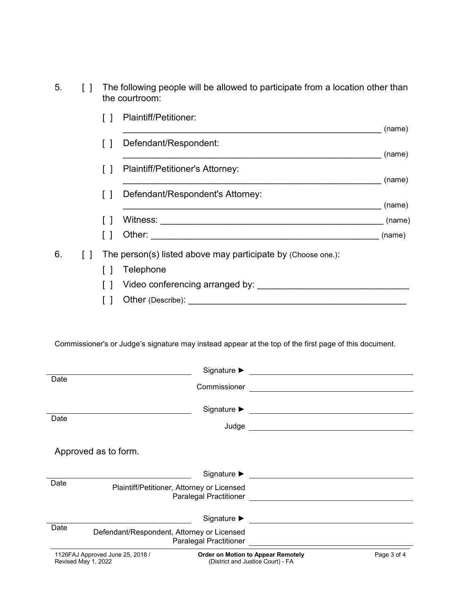5. [ ] The following people will be allowed to participate from a location other than the courtroom:

|    |  | Plaintiff/Petitioner:                                                                                                                                                                                                               |        |
|----|--|-------------------------------------------------------------------------------------------------------------------------------------------------------------------------------------------------------------------------------------|--------|
|    |  |                                                                                                                                                                                                                                     | (name) |
|    |  | Defendant/Respondent:                                                                                                                                                                                                               |        |
|    |  |                                                                                                                                                                                                                                     | (name) |
|    |  | Plaintiff/Petitioner's Attorney:                                                                                                                                                                                                    | (name) |
|    |  |                                                                                                                                                                                                                                     |        |
|    |  | Defendant/Respondent's Attorney:                                                                                                                                                                                                    | (name) |
|    |  | Witness:                                                                                                                                                                                                                            | (name) |
|    |  |                                                                                                                                                                                                                                     | (name) |
| 6. |  | The person(s) listed above may participate by (Choose one.):                                                                                                                                                                        |        |
|    |  | Telephone                                                                                                                                                                                                                           |        |
|    |  | Video conferencing arranged by:                                                                                                                                                                                                     |        |
|    |  | Other (Describe): <u>Canadian Communication</u> of the Communication of the Communication of the Communication of the Communication of the Communication of the Communication of the Communication of the Communication of the Comm |        |

Commissioner's or Judge's signature may instead appear at the top of the first page of this document.

|                                                         | Signature $\blacktriangleright$                                                    |             |
|---------------------------------------------------------|------------------------------------------------------------------------------------|-------------|
| Date                                                    | Commissioner<br><u> 1989 - Andrea Station Barbara, amerikan personal (h. 1989)</u> |             |
| Date                                                    | Signature $\blacktriangleright$<br>Judge                                           |             |
| Approved as to form.                                    |                                                                                    |             |
|                                                         | Signature ▶ <b>▶ Accepted Accepted Accept</b>                                      |             |
| Date                                                    | Plaintiff/Petitioner, Attorney or Licensed<br>Paralegal Practitioner               |             |
|                                                         | Signature $\blacktriangleright$                                                    |             |
| Date<br>Defendant/Respondent, Attorney or Licensed      | Paralegal Practitioner                                                             |             |
| 1126FAJ Approved June 25, 2018 /<br>Revised May 1, 2022 | <b>Order on Motion to Appear Remotely</b><br>(District and Justice Court) - FA     | Page 3 of 4 |